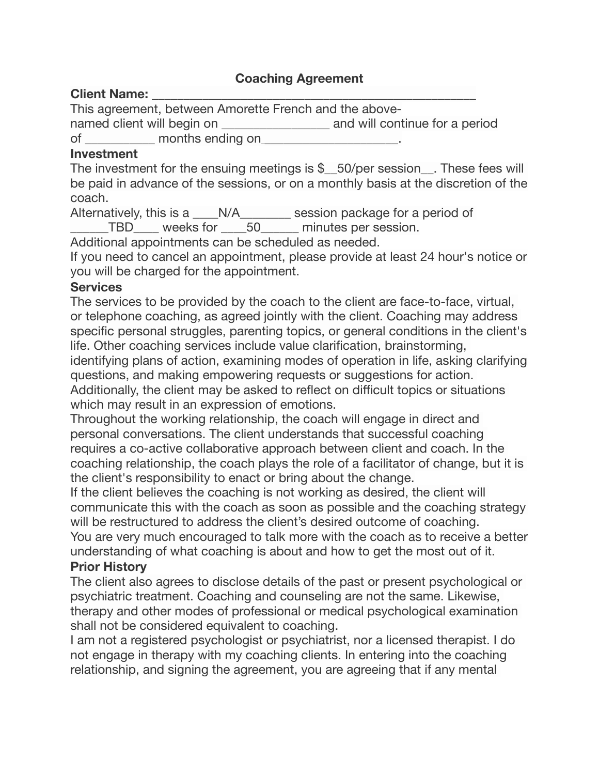## **Coaching Agreement**

#### **Client Name:** \_\_\_\_\_\_\_\_\_\_\_\_\_\_\_\_\_\_\_\_\_\_\_\_\_\_\_\_\_\_\_\_\_\_\_\_\_\_\_\_\_\_\_\_\_\_\_\_\_\_\_

This agreement, between Amorette French and the abovenamed client will begin on **Example 20** and will continue for a period of months ending on  $\blacksquare$ 

### **Investment**

The investment for the ensuing meetings is  $$$  50/per session . These fees will be paid in advance of the sessions, or on a monthly basis at the discretion of the coach.

Alternatively, this is a \_\_\_\_N/A\_\_\_\_\_\_\_\_ session package for a period of

TBD weeks for 50 minutes per session.

Additional appointments can be scheduled as needed.

If you need to cancel an appointment, please provide at least 24 hour's notice or you will be charged for the appointment.

### **Services**

The services to be provided by the coach to the client are face-to-face, virtual, or telephone coaching, as agreed jointly with the client. Coaching may address specific personal struggles, parenting topics, or general conditions in the client's life. Other coaching services include value clarification, brainstorming,

identifying plans of action, examining modes of operation in life, asking clarifying questions, and making empowering requests or suggestions for action.

Additionally, the client may be asked to reflect on difficult topics or situations which may result in an expression of emotions.

Throughout the working relationship, the coach will engage in direct and personal conversations. The client understands that successful coaching requires a co-active collaborative approach between client and coach. In the coaching relationship, the coach plays the role of a facilitator of change, but it is the client's responsibility to enact or bring about the change.

If the client believes the coaching is not working as desired, the client will communicate this with the coach as soon as possible and the coaching strategy will be restructured to address the client's desired outcome of coaching.

You are very much encouraged to talk more with the coach as to receive a better understanding of what coaching is about and how to get the most out of it.

# **Prior History**

The client also agrees to disclose details of the past or present psychological or psychiatric treatment. Coaching and counseling are not the same. Likewise, therapy and other modes of professional or medical psychological examination shall not be considered equivalent to coaching.

I am not a registered psychologist or psychiatrist, nor a licensed therapist. I do not engage in therapy with my coaching clients. In entering into the coaching relationship, and signing the agreement, you are agreeing that if any mental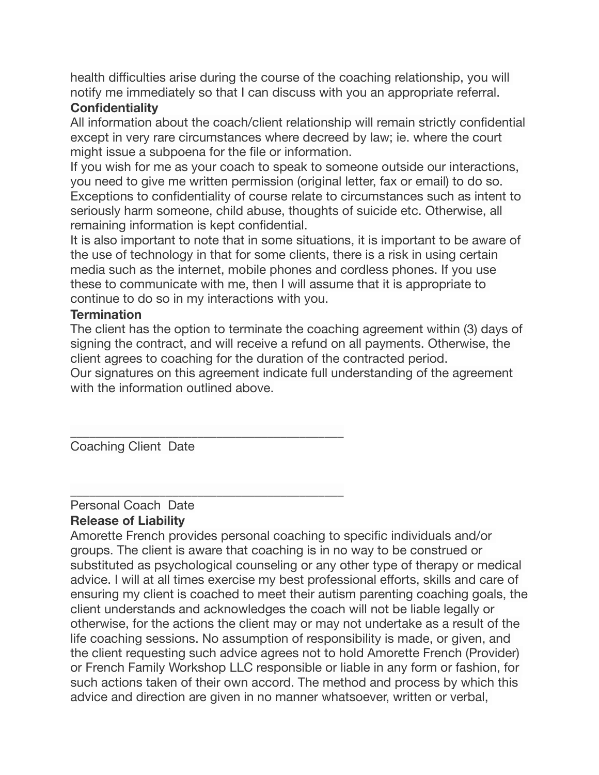health difficulties arise during the course of the coaching relationship, you will notify me immediately so that I can discuss with you an appropriate referral.

# **Confidentiality**

All information about the coach/client relationship will remain strictly confidential except in very rare circumstances where decreed by law; ie. where the court might issue a subpoena for the file or information.

If you wish for me as your coach to speak to someone outside our interactions, you need to give me written permission (original letter, fax or email) to do so. Exceptions to confidentiality of course relate to circumstances such as intent to seriously harm someone, child abuse, thoughts of suicide etc. Otherwise, all remaining information is kept confidential.

It is also important to note that in some situations, it is important to be aware of the use of technology in that for some clients, there is a risk in using certain media such as the internet, mobile phones and cordless phones. If you use these to communicate with me, then I will assume that it is appropriate to continue to do so in my interactions with you.

## **Termination**

The client has the option to terminate the coaching agreement within (3) days of signing the contract, and will receive a refund on all payments. Otherwise, the client agrees to coaching for the duration of the contracted period.

Our signatures on this agreement indicate full understanding of the agreement with the information outlined above.

\_\_\_\_\_\_\_\_\_\_\_\_\_\_\_\_\_\_\_\_\_\_\_\_\_\_\_\_\_\_\_\_\_\_\_\_\_\_\_\_\_\_\_ Coaching Client Date

### \_\_\_\_\_\_\_\_\_\_\_\_\_\_\_\_\_\_\_\_\_\_\_\_\_\_\_\_\_\_\_\_\_\_\_\_\_\_\_\_\_\_\_ Personal Coach Date **Release of Liability**

Amorette French provides personal coaching to specific individuals and/or groups. The client is aware that coaching is in no way to be construed or substituted as psychological counseling or any other type of therapy or medical advice. I will at all times exercise my best professional efforts, skills and care of ensuring my client is coached to meet their autism parenting coaching goals, the client understands and acknowledges the coach will not be liable legally or otherwise, for the actions the client may or may not undertake as a result of the life coaching sessions. No assumption of responsibility is made, or given, and the client requesting such advice agrees not to hold Amorette French (Provider) or French Family Workshop LLC responsible or liable in any form or fashion, for such actions taken of their own accord. The method and process by which this advice and direction are given in no manner whatsoever, written or verbal,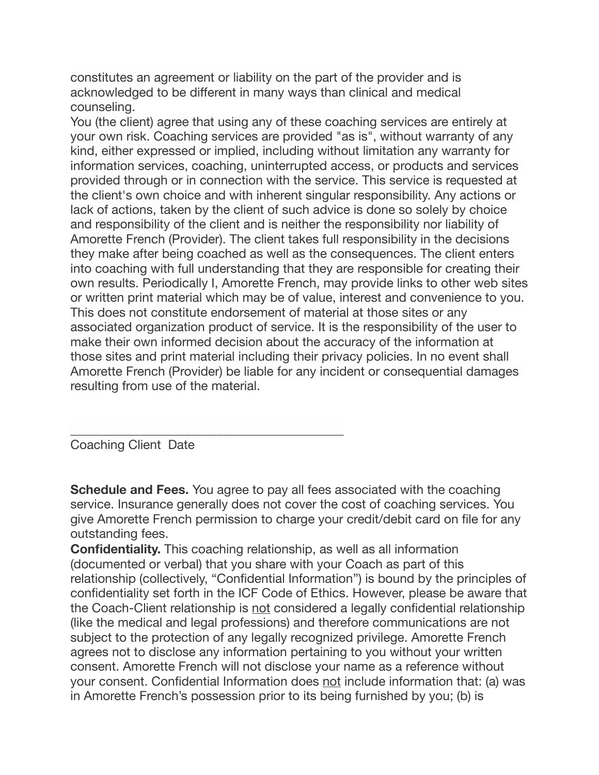constitutes an agreement or liability on the part of the provider and is acknowledged to be different in many ways than clinical and medical counseling.

You (the client) agree that using any of these coaching services are entirely at your own risk. Coaching services are provided "as is", without warranty of any kind, either expressed or implied, including without limitation any warranty for information services, coaching, uninterrupted access, or products and services provided through or in connection with the service. This service is requested at the client's own choice and with inherent singular responsibility. Any actions or lack of actions, taken by the client of such advice is done so solely by choice and responsibility of the client and is neither the responsibility nor liability of Amorette French (Provider). The client takes full responsibility in the decisions they make after being coached as well as the consequences. The client enters into coaching with full understanding that they are responsible for creating their own results. Periodically I, Amorette French, may provide links to other web sites or written print material which may be of value, interest and convenience to you. This does not constitute endorsement of material at those sites or any associated organization product of service. It is the responsibility of the user to make their own informed decision about the accuracy of the information at those sites and print material including their privacy policies. In no event shall Amorette French (Provider) be liable for any incident or consequential damages resulting from use of the material.

Coaching Client Date

\_\_\_\_\_\_\_\_\_\_\_\_\_\_\_\_\_\_\_\_\_\_\_\_\_\_\_\_\_\_\_\_\_\_\_\_\_\_\_\_\_\_\_

**Schedule and Fees.** You agree to pay all fees associated with the coaching service. Insurance generally does not cover the cost of coaching services. You give Amorette French permission to charge your credit/debit card on file for any outstanding fees.

**Confidentiality.** This coaching relationship, as well as all information (documented or verbal) that you share with your Coach as part of this relationship (collectively, "Confidential Information") is bound by the principles of confidentiality set forth in the ICF Code of Ethics. However, please be aware that the Coach-Client relationship is not considered a legally confidential relationship (like the medical and legal professions) and therefore communications are not subject to the protection of any legally recognized privilege. Amorette French agrees not to disclose any information pertaining to you without your written consent. Amorette French will not disclose your name as a reference without your consent. Confidential Information does not include information that: (a) was in Amorette French's possession prior to its being furnished by you; (b) is